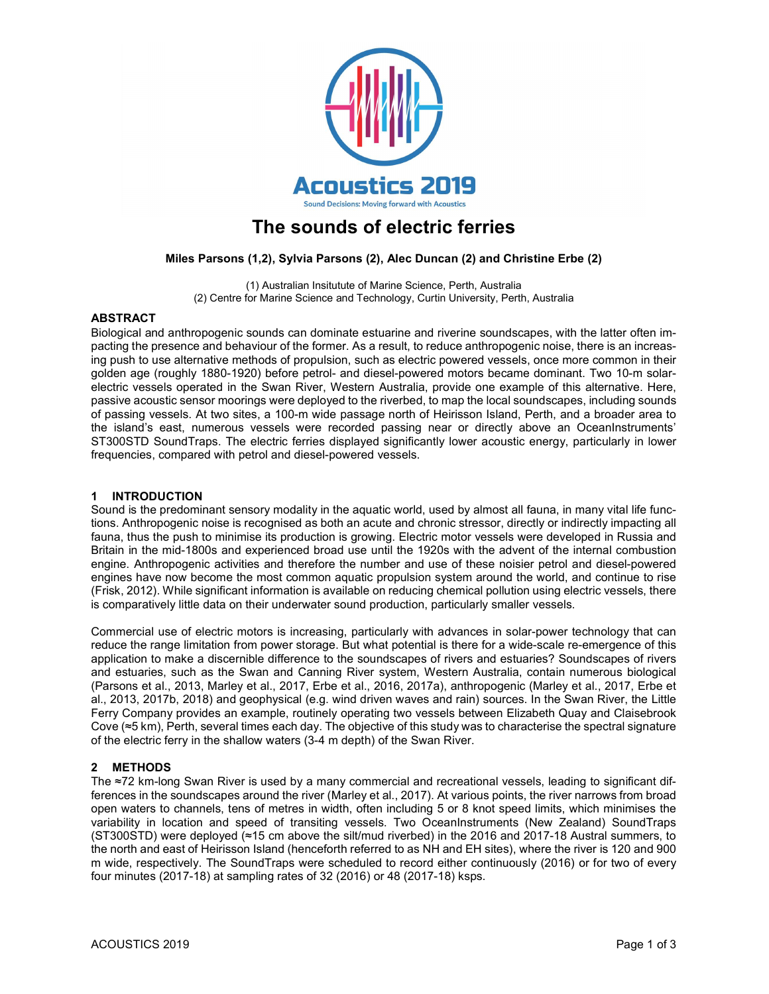

# The sounds of electric ferries

## Miles Parsons (1,2), Sylvia Parsons (2), Alec Duncan (2) and Christine Erbe (2)

(1) Australian Insitutute of Marine Science, Perth, Australia (2) Centre for Marine Science and Technology, Curtin University, Perth, Australia

#### ABSTRACT

Biological and anthropogenic sounds can dominate estuarine and riverine soundscapes, with the latter often impacting the presence and behaviour of the former. As a result, to reduce anthropogenic noise, there is an increasing push to use alternative methods of propulsion, such as electric powered vessels, once more common in their golden age (roughly 1880-1920) before petrol- and diesel-powered motors became dominant. Two 10-m solarelectric vessels operated in the Swan River, Western Australia, provide one example of this alternative. Here, passive acoustic sensor moorings were deployed to the riverbed, to map the local soundscapes, including sounds of passing vessels. At two sites, a 100-m wide passage north of Heirisson Island, Perth, and a broader area to the island's east, numerous vessels were recorded passing near or directly above an OceanInstruments' ST300STD SoundTraps. The electric ferries displayed significantly lower acoustic energy, particularly in lower frequencies, compared with petrol and diesel-powered vessels.

#### 1 INTRODUCTION

Sound is the predominant sensory modality in the aquatic world, used by almost all fauna, in many vital life functions. Anthropogenic noise is recognised as both an acute and chronic stressor, directly or indirectly impacting all fauna, thus the push to minimise its production is growing. Electric motor vessels were developed in Russia and Britain in the mid-1800s and experienced broad use until the 1920s with the advent of the internal combustion engine. Anthropogenic activities and therefore the number and use of these noisier petrol and diesel-powered engines have now become the most common aquatic propulsion system around the world, and continue to rise (Frisk, 2012). While significant information is available on reducing chemical pollution using electric vessels, there is comparatively little data on their underwater sound production, particularly smaller vessels.

Commercial use of electric motors is increasing, particularly with advances in solar-power technology that can reduce the range limitation from power storage. But what potential is there for a wide-scale re-emergence of this application to make a discernible difference to the soundscapes of rivers and estuaries? Soundscapes of rivers and estuaries, such as the Swan and Canning River system, Western Australia, contain numerous biological (Parsons et al., 2013, Marley et al., 2017, Erbe et al., 2016, 2017a), anthropogenic (Marley et al., 2017, Erbe et al., 2013, 2017b, 2018) and geophysical (e.g. wind driven waves and rain) sources. In the Swan River, the Little Ferry Company provides an example, routinely operating two vessels between Elizabeth Quay and Claisebrook Cove (≈5 km), Perth, several times each day. The objective of this study was to characterise the spectral signature of the electric ferry in the shallow waters (3-4 m depth) of the Swan River.

## 2 METHODS

The ≈72 km-long Swan River is used by a many commercial and recreational vessels, leading to significant differences in the soundscapes around the river (Marley et al., 2017). At various points, the river narrows from broad open waters to channels, tens of metres in width, often including 5 or 8 knot speed limits, which minimises the variability in location and speed of transiting vessels. Two OceanInstruments (New Zealand) SoundTraps (ST300STD) were deployed (≈15 cm above the silt/mud riverbed) in the 2016 and 2017-18 Austral summers, to the north and east of Heirisson Island (henceforth referred to as NH and EH sites), where the river is 120 and 900 m wide, respectively. The SoundTraps were scheduled to record either continuously (2016) or for two of every four minutes (2017-18) at sampling rates of 32 (2016) or 48 (2017-18) ksps.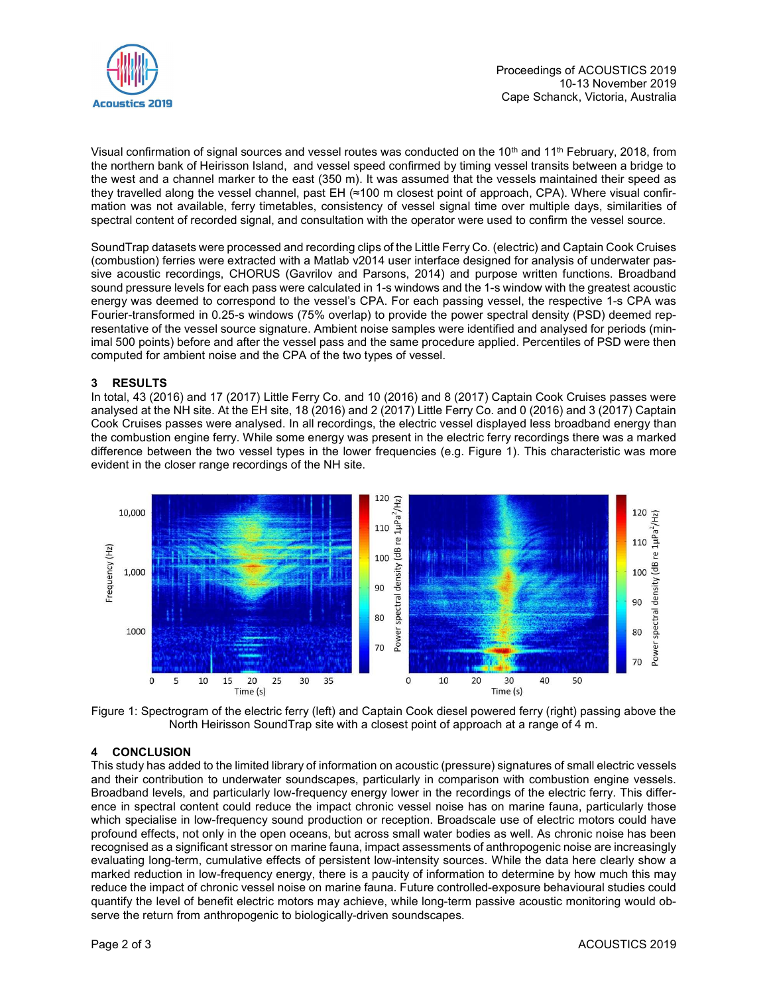

Visual confirmation of signal sources and vessel routes was conducted on the 10<sup>th</sup> and 11<sup>th</sup> February, 2018, from the northern bank of Heirisson Island, and vessel speed confirmed by timing vessel transits between a bridge to the west and a channel marker to the east (350 m). It was assumed that the vessels maintained their speed as they travelled along the vessel channel, past EH (≈100 m closest point of approach, CPA). Where visual confirmation was not available, ferry timetables, consistency of vessel signal time over multiple days, similarities of spectral content of recorded signal, and consultation with the operator were used to confirm the vessel source.

SoundTrap datasets were processed and recording clips of the Little Ferry Co. (electric) and Captain Cook Cruises (combustion) ferries were extracted with a Matlab v2014 user interface designed for analysis of underwater passive acoustic recordings, CHORUS (Gavrilov and Parsons, 2014) and purpose written functions. Broadband sound pressure levels for each pass were calculated in 1-s windows and the 1-s window with the greatest acoustic energy was deemed to correspond to the vessel's CPA. For each passing vessel, the respective 1-s CPA was Fourier-transformed in 0.25-s windows (75% overlap) to provide the power spectral density (PSD) deemed representative of the vessel source signature. Ambient noise samples were identified and analysed for periods (minimal 500 points) before and after the vessel pass and the same procedure applied. Percentiles of PSD were then computed for ambient noise and the CPA of the two types of vessel.

## 3 RESULTS

In total, 43 (2016) and 17 (2017) Little Ferry Co. and 10 (2016) and 8 (2017) Captain Cook Cruises passes were analysed at the NH site. At the EH site, 18 (2016) and 2 (2017) Little Ferry Co. and 0 (2016) and 3 (2017) Captain Cook Cruises passes were analysed. In all recordings, the electric vessel displayed less broadband energy than the combustion engine ferry. While some energy was present in the electric ferry recordings there was a marked difference between the two vessel types in the lower frequencies (e.g. Figure 1). This characteristic was more evident in the closer range recordings of the NH site.



Figure 1: Spectrogram of the electric ferry (left) and Captain Cook diesel powered ferry (right) passing above the North Heirisson SoundTrap site with a closest point of approach at a range of 4 m.

## 4 CONCLUSION

This study has added to the limited library of information on acoustic (pressure) signatures of small electric vessels and their contribution to underwater soundscapes, particularly in comparison with combustion engine vessels. Broadband levels, and particularly low-frequency energy lower in the recordings of the electric ferry. This difference in spectral content could reduce the impact chronic vessel noise has on marine fauna, particularly those which specialise in low-frequency sound production or reception. Broadscale use of electric motors could have profound effects, not only in the open oceans, but across small water bodies as well. As chronic noise has been recognised as a significant stressor on marine fauna, impact assessments of anthropogenic noise are increasingly evaluating long-term, cumulative effects of persistent low-intensity sources. While the data here clearly show a marked reduction in low-frequency energy, there is a paucity of information to determine by how much this may reduce the impact of chronic vessel noise on marine fauna. Future controlled-exposure behavioural studies could quantify the level of benefit electric motors may achieve, while long-term passive acoustic monitoring would observe the return from anthropogenic to biologically-driven soundscapes.